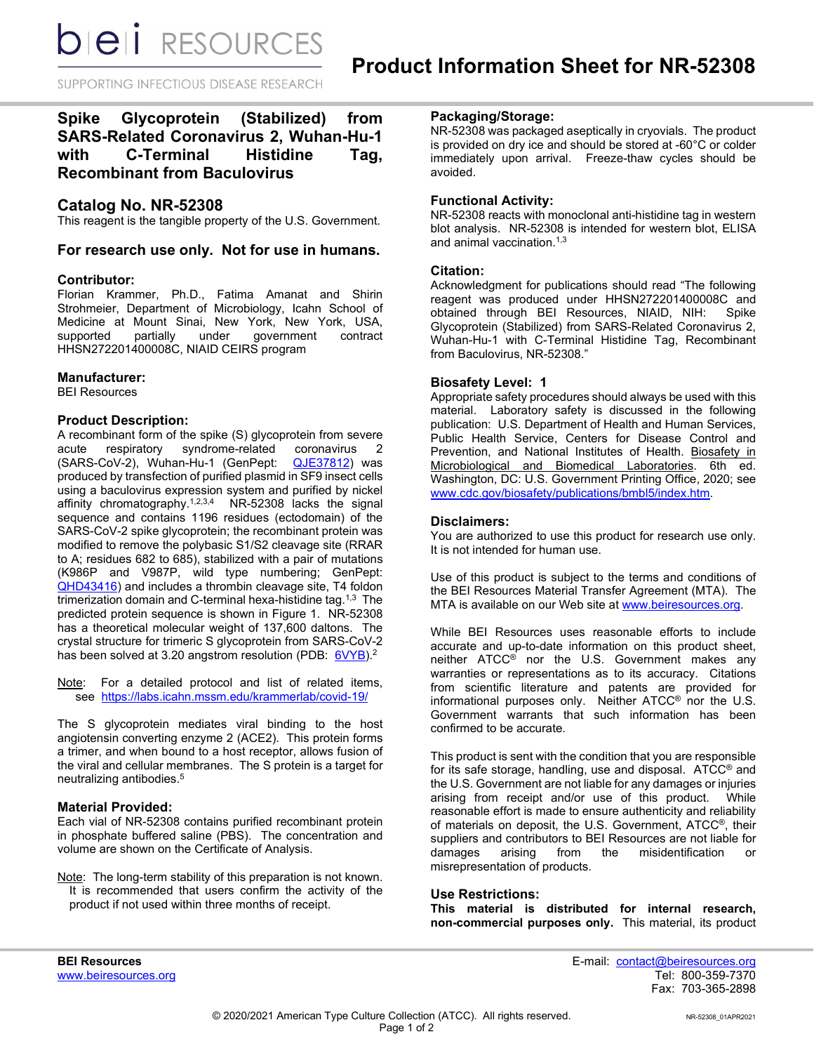**bieli** RESOURCES

SUPPORTING INFECTIOUS DISEASE RESEARCH

# **Spike Glycoprotein (Stabilized) from SARS-Related Coronavirus 2, Wuhan-Hu-1 with C-Terminal Histidine Tag, Recombinant from Baculovirus**

## **Catalog No. NR-52308**

This reagent is the tangible property of the U.S. Government.

#### **For research use only. Not for use in humans.**

#### **Contributor:**

Florian Krammer, Ph.D., Fatima Amanat and Shirin Strohmeier, Department of Microbiology, Icahn School of Medicine at Mount Sinai, New York, New York, USA, supported partially under government contract HHSN272201400008C, NIAID CEIRS program

#### **Manufacturer:**

BEI Resources

#### **Product Description:**

A recombinant form of the spike (S) glycoprotein from severe acute respiratory syndrome-related coronavirus 2<br>(SARS-CoV-2), Wuhan-Hu-1 (GenPept: QJE37812) was (SARS-CoV-2), Wuhan-Hu-1 (GenPept: produced by transfection of purified plasmid in SF9 insect cells using a baculovirus expression system and purified by nickel affinity chromatography.1,2,3,4 NR-52308 lacks the signal sequence and contains 1196 residues (ectodomain) of the SARS-CoV-2 spike glycoprotein; the recombinant protein was modified to remove the polybasic S1/S2 cleavage site (RRAR to A; residues 682 to 685), stabilized with a pair of mutations (K986P and V987P, wild type numbering; GenPept: [QHD43416\)](https://www.ncbi.nlm.nih.gov/protein/QHD43416) and includes a thrombin cleavage site, T4 foldon trimerization domain and C-terminal hexa-histidine tag.<sup>1,3</sup> The predicted protein sequence is shown in Figure 1. NR-52308 has a theoretical molecular weight of 137,600 daltons. The crystal structure for trimeric S glycoprotein from SARS-CoV-2 has been solved at 3.20 angstrom resolution (PDB: [6VYB\)](https://www.ncbi.nlm.nih.gov/Structure/pdb/6VYB).<sup>2</sup>

Note: For a detailed protocol and list of related items, see [https://labs.icahn.mssm.edu/krammerlab/covid-19/](https://urldefense.proofpoint.com/v2/url?u=https-3A__labs.icahn.mssm.edu_krammerlab_covid-2D19_&d=DwMGaQ&c=dcFnI-8Ri3NVXdqjME8ydA&r=eA3zTJxwXCmlnZgIbqMroY0lnEHoS938ZSXCfWXjknU&m=7thlCJsuJKRfS35CaryT9_VtJiIy3dY5SkMJM_oXZmg&s=wKvseV8pQG7eHq_VY5BAfNELC023EXKmAGwNxyckM8k&e=)

The S glycoprotein mediates viral binding to the host angiotensin converting enzyme 2 (ACE2). This protein forms a trimer, and when bound to a host receptor, allows fusion of the viral and cellular membranes. The S protein is a target for neutralizing antibodies.5

#### **Material Provided:**

Each vial of NR-52308 contains purified recombinant protein in phosphate buffered saline (PBS). The concentration and volume are shown on the Certificate of Analysis.

Note: The long-term stability of this preparation is not known. It is recommended that users confirm the activity of the product if not used within three months of receipt.

### **Packaging/Storage:**

NR-52308 was packaged aseptically in cryovials. The product is provided on dry ice and should be stored at -60°C or colder immediately upon arrival. Freeze-thaw cycles should be avoided.

#### **Functional Activity:**

NR-52308 reacts with monoclonal anti-histidine tag in western blot analysis. NR-52308 is intended for western blot, ELISA and animal vaccination.<sup>1,3</sup>

#### **Citation:**

Acknowledgment for publications should read "The following reagent was produced under HHSN272201400008C and<br>obtained through BEI Resources, NIAID, NIH: Spike obtained through BEI Resources, NIAID, NIH: Glycoprotein (Stabilized) from SARS-Related Coronavirus 2, Wuhan-Hu-1 with C-Terminal Histidine Tag, Recombinant from Baculovirus, NR-52308."

#### **Biosafety Level: 1**

Appropriate safety procedures should always be used with this material. Laboratory safety is discussed in the following publication: U.S. Department of Health and Human Services, Public Health Service, Centers for Disease Control and Prevention, and National Institutes of Health. Biosafety in Microbiological and Biomedical Laboratories. 6th ed. Washington, DC: U.S. Government Printing Office, 2020; see [www.cdc.gov/biosafety/publications/bmbl5/index.htm.](http://www.cdc.gov/biosafety/publications/bmbl5/index.htm)

#### **Disclaimers:**

You are authorized to use this product for research use only. It is not intended for human use.

Use of this product is subject to the terms and conditions of the BEI Resources Material Transfer Agreement (MTA). The MTA is available on our Web site at [www.beiresources.org.](http://www.beiresources.org/)

While BEI Resources uses reasonable efforts to include accurate and up-to-date information on this product sheet, neither ATCC® nor the U.S. Government makes any warranties or representations as to its accuracy. Citations from scientific literature and patents are provided for informational purposes only. Neither ATCC® nor the U.S. Government warrants that such information has been confirmed to be accurate.

This product is sent with the condition that you are responsible for its safe storage, handling, use and disposal. ATCC® and the U.S. Government are not liable for any damages or injuries arising from receipt and/or use of this product. While reasonable effort is made to ensure authenticity and reliability of materials on deposit, the U.S. Government, ATCC®, their suppliers and contributors to BEI Resources are not liable for damages arising from the misidentification or misrepresentation of products.

#### **Use Restrictions:**

**This material is distributed for internal research, non-commercial purposes only.** This material, its product

**BEI Resources** E-mail: contact@beiresources.org Fax: 703-365-2898